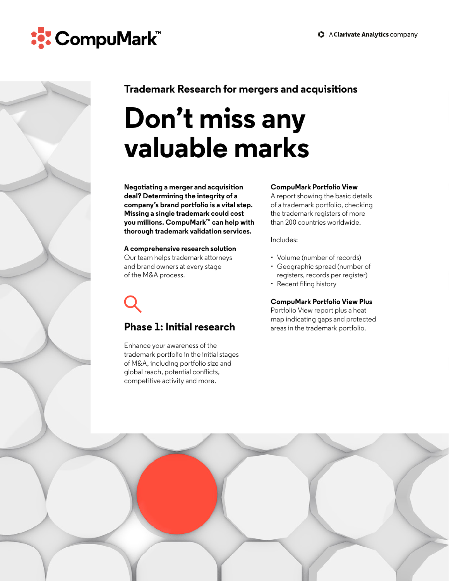



# **Trademark Research for mergers and acquisitions**

# **Don't miss any valuable marks**

**Negotiating a merger and acquisition deal? Determining the integrity of a company's brand portfolio is a vital step. Missing a single trademark could cost you millions. CompuMark™ can help with thorough trademark validation services.** 

#### **A comprehensive research solution**

Our team helps trademark attorneys and brand owners at every stage of the M&A process.

# **Phase 1: Initial research**

Enhance your awareness of the trademark portfolio in the initial stages of M&A, including portfolio size and global reach, potential conflicts, competitive activity and more.

### **CompuMark Portfolio View**

A report showing the basic details of a trademark portfolio, checking the trademark registers of more than 200 countries worldwide.

Includes:

- Volume (number of records)
- Geographic spread (number of registers, records per register)
- Recent filing history

#### **CompuMark Portfolio View Plus**

Portfolio View report plus a heat map indicating gaps and protected areas in the trademark portfolio.